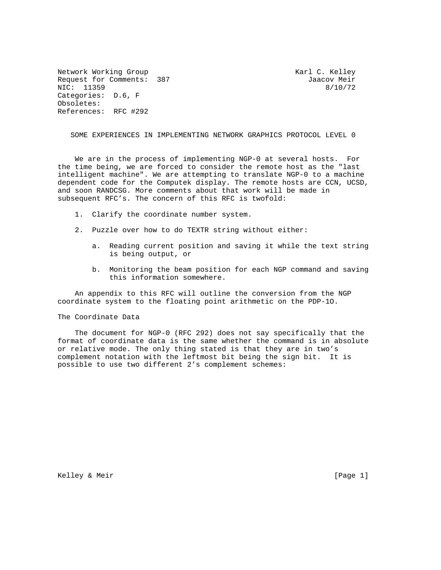Network Working Group Network C. Kelley Request for Comments: 387 Jaacov Meir NIC: 11359 8/10/72 Categories: D.6, F Obsoletes: References: RFC #292

SOME EXPERIENCES IN IMPLEMENTING NETWORK GRAPHICS PROTOCOL LEVEL 0

 We are in the process of implementing NGP-0 at several hosts. For the time being, we are forced to consider the remote host as the "last intelligent machine". We are attempting to translate NGP-0 to a machine dependent code for the Computek display. The remote hosts are CCN, UCSD, and soon RANDCSG. More comments about that work will be made in subsequent RFC's. The concern of this RFC is twofold:

- 1. Clarify the coordinate number system.
- 2. Puzzle over how to do TEXTR string without either:
	- a. Reading current position and saving it while the text string is being output, or
	- b. Monitoring the beam position for each NGP command and saving this information somewhere.

 An appendix to this RFC will outline the conversion from the NGP coordinate system to the floating point arithmetic on the PDP-1O.

## The Coordinate Data

 The document for NGP-0 (RFC 292) does not say specifically that the format of coordinate data is the same whether the command is in absolute or relative mode. The only thing stated is that they are in two's complement notation with the leftmost bit being the sign bit. It is possible to use two different 2's complement schemes:

Kelley & Meir [Page 1]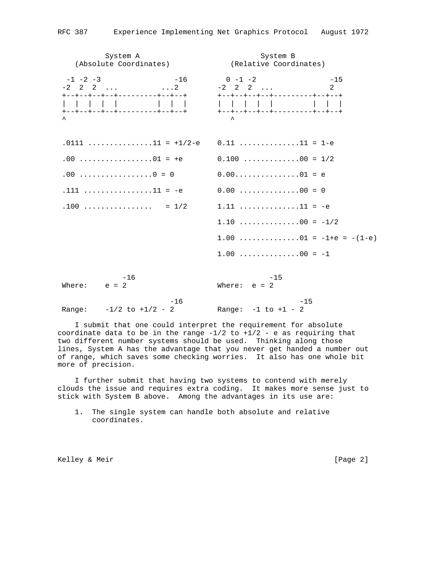System A System B (Absolute Coordinates) (Relative Coordinates)  $-1$   $-2$   $-3$   $-16$   $0$   $-1$   $-2$   $-15$  $-2$  2 2 ...  $\hspace{1.5cm}$  ...2  $-2$  2 2 ... 2 +--+--+--+--+---------+--+--+ +--+--+--+--+---------+--+--+ | | | | | | | | | | | | | | | | +--+--+--+--+---------+--+--+ +--+--+--+--+---------+--+--+  $\lambda$  $.0111$   $. . . . . . . . . . . . .11$  = +1/2-e  $.0.11$   $. . . . . . . . . . . . .11$  = 1-e .00 .................01 = +e 0.100 .............00 = 1/2 .00 .................0 = 0 0.00...............01 = e  $.111$   $\ldots$   $\ldots$   $\ldots$   $.111$  = -e 0.00  $\ldots$   $\ldots$   $\ldots$   $.00$  = 0 .100 ................ = 1/2 1.11 ..............11 = -e  $1.10$  ...............00 =  $-1/2$ 1.00  $\dots \dots \dots \dots \dots 01 = -1 + e = -(1 - e)$  $1.00$  ..............00 =  $-1$  $-16$   $-15$ Where:  $e = 2$  Where:  $e = 2$  $-16$   $-15$ Range:  $-1/2$  to  $+1/2$  - 2 Range:  $-1$  to  $+1$  - 2

 I submit that one could interpret the requirement for absolute coordinate data to be in the range  $-1/2$  to  $+1/2$  - e as requiring that two different number systems should be used. Thinking along those lines, System A has the advantage that you never get handed a number out of range, which saves some checking worries. It also has one whole bit more of precision.

 I further submit that having two systems to contend with merely clouds the issue and requires extra coding. It makes more sense just to stick with System B above. Among the advantages in its use are:

 1. The single system can handle both absolute and relative coordinates.

Kelley & Meir [Page 2]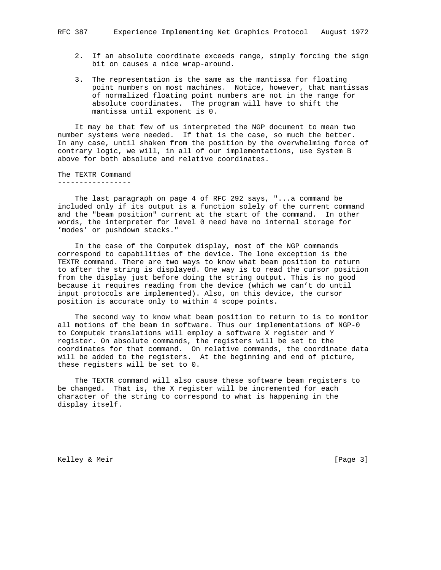- 2. If an absolute coordinate exceeds range, simply forcing the sign bit on causes a nice wrap-around.
- 3. The representation is the same as the mantissa for floating point numbers on most machines. Notice, however, that mantissas of normalized floating point numbers are not in the range for absolute coordinates. The program will have to shift the mantissa until exponent is 0.

 It may be that few of us interpreted the NGP document to mean two number systems were needed. If that is the case, so much the better. In any case, until shaken from the position by the overwhelming force of contrary logic, we will, in all of our implementations, use System B above for both absolute and relative coordinates.

The TEXTR Command -----------------

 The last paragraph on page 4 of RFC 292 says, "...a command be included only if its output is a function solely of the current command and the "beam position" current at the start of the command. In other words, the interpreter for level 0 need have no internal storage for 'modes' or pushdown stacks."

 In the case of the Computek display, most of the NGP commands correspond to capabilities of the device. The lone exception is the TEXTR command. There are two ways to know what beam position to return to after the string is displayed. One way is to read the cursor position from the display just before doing the string output. This is no good because it requires reading from the device (which we can't do until input protocols are implemented). Also, on this device, the cursor position is accurate only to within 4 scope points.

 The second way to know what beam position to return to is to monitor all motions of the beam in software. Thus our implementations of NGP-0 to Computek translations will employ a software X register and Y register. On absolute commands, the registers will be set to the coordinates for that command. On relative commands, the coordinate data will be added to the registers. At the beginning and end of picture, these registers will be set to 0.

 The TEXTR command will also cause these software beam registers to be changed. That is, the X register will be incremented for each character of the string to correspond to what is happening in the display itself.

Kelley & Meir [Page 3]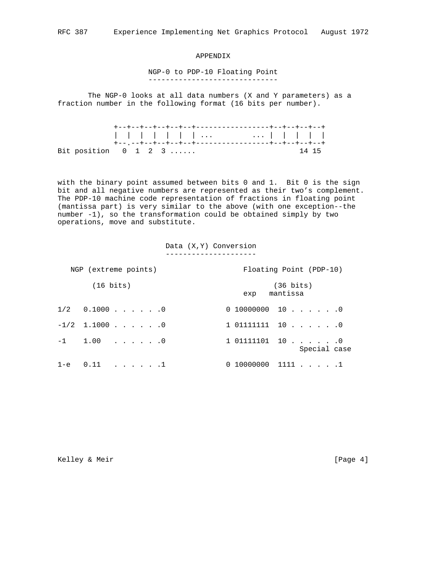## APPENDIX

## NGP-0 to PDP-10 Floating Point ------------------------------

 The NGP-0 looks at all data numbers (X and Y parameters) as a fraction number in the following format (16 bits per number).

|                                                       | +--+--+--+--+--+--+------------------+--+--+--+--+ |  |  |  |  |  |  |  |  |  |  |  |       |  |
|-------------------------------------------------------|----------------------------------------------------|--|--|--|--|--|--|--|--|--|--|--|-------|--|
|                                                       | 1 1 1 1 1 1 1  1 1 1 1                             |  |  |  |  |  |  |  |  |  |  |  |       |  |
|                                                       |                                                    |  |  |  |  |  |  |  |  |  |  |  |       |  |
| Bit position $0 \quad 1 \quad 2 \quad 3 \quad \ldots$ |                                                    |  |  |  |  |  |  |  |  |  |  |  | 14 15 |  |

with the binary point assumed between bits 0 and 1. Bit 0 is the sign bit and all negative numbers are represented as their two's complement. The PDP-10 machine code representation of fractions in floating point (mantissa part) is very similar to the above (with one exception--the number -1), so the transformation could be obtained simply by two operations, move and substitute.

> Data (X,Y) Conversion ---------------------

| NGP (extreme points)      | Floating Point (PDP-10)                |
|---------------------------|----------------------------------------|
| $(16 \text{ bits})$       | $(36 \text{ bits})$<br>mantissa<br>exp |
| $1/2$ 0.1000 0            | $0$ 10000000 10 0                      |
| $-1/2$ 1.1000 0           | 1 011111111 10 0                       |
| $-1$ 1.00 0               | 1 01111101 10 0<br>Special case        |
| $1-e$ $0.11$ $\ldots$ $1$ | $0$ 10000000 1111 1                    |

Kelley & Meir [Page 4]